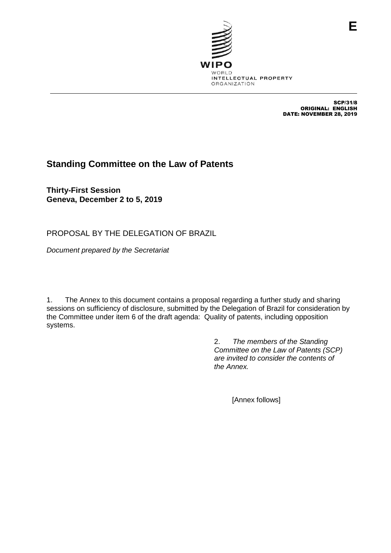

SCP/31/8 ORIGINAL: ENGLISH DATE: NOVEMBER 28, 2019

## **Standing Committee on the Law of Patents**

**Thirty-First Session Geneva, December 2 to 5, 2019**

PROPOSAL BY THE DELEGATION OF BRAZIL

*Document prepared by the Secretariat*

1. The Annex to this document contains a proposal regarding a further study and sharing sessions on sufficiency of disclosure, submitted by the Delegation of Brazil for consideration by the Committee under item 6 of the draft agenda: Quality of patents, including opposition systems.

> 2. *The members of the Standing Committee on the Law of Patents (SCP) are invited to consider the contents of the Annex.*

> > [Annex follows]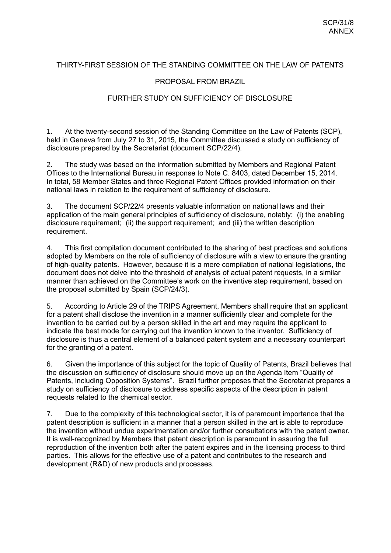## THIRTY-FIRST SESSION OF THE STANDING COMMITTEE ON THE LAW OF PATENTS

## PROPOSAL FROM BRAZIL

## FURTHER STUDY ON SUFFICIENCY OF DISCLOSURE

1. At the twenty-second session of the Standing Committee on the Law of Patents (SCP), held in Geneva from July 27 to 31, 2015, the Committee discussed a study on sufficiency of disclosure prepared by the Secretariat (document SCP/22/4).

2. The study was based on the information submitted by Members and Regional Patent Offices to the International Bureau in response to Note C. 8403, dated December 15, 2014. In total, 58 Member States and three Regional Patent Offices provided information on their national laws in relation to the requirement of sufficiency of disclosure.

3. The document SCP/22/4 presents valuable information on national laws and their application of the main general principles of sufficiency of disclosure, notably: (i) the enabling disclosure requirement; (ii) the support requirement; and (iii) the written description requirement.

4. This first compilation document contributed to the sharing of best practices and solutions adopted by Members on the role of sufficiency of disclosure with a view to ensure the granting of high-quality patents. However, because it is a mere compilation of national legislations, the document does not delve into the threshold of analysis of actual patent requests, in a similar manner than achieved on the Committee's work on the inventive step requirement, based on the proposal submitted by Spain (SCP/24/3).

5. According to Article 29 of the TRIPS Agreement, Members shall require that an applicant for a patent shall disclose the invention in a manner sufficiently clear and complete for the invention to be carried out by a person skilled in the art and may require the applicant to indicate the best mode for carrying out the invention known to the inventor. Sufficiency of disclosure is thus a central element of a balanced patent system and a necessary counterpart for the granting of a patent.

6. Given the importance of this subject for the topic of Quality of Patents, Brazil believes that the discussion on sufficiency of disclosure should move up on the Agenda Item "Quality of Patents, including Opposition Systems". Brazil further proposes that the Secretariat prepares a study on sufficiency of disclosure to address specific aspects of the description in patent requests related to the chemical sector.

7. Due to the complexity of this technological sector, it is of paramount importance that the patent description is sufficient in a manner that a person skilled in the art is able to reproduce the invention without undue experimentation and/or further consultations with the patent owner. It is well-recognized by Members that patent description is paramount in assuring the full reproduction of the invention both after the patent expires and in the licensing process to third parties. This allows for the effective use of a patent and contributes to the research and development (R&D) of new products and processes.